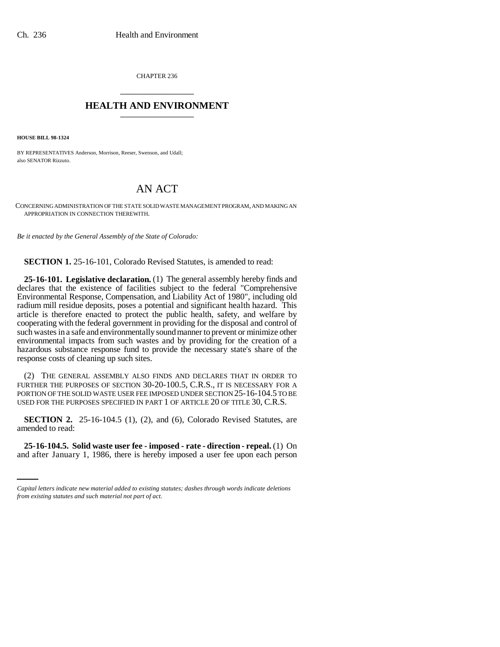CHAPTER 236 \_\_\_\_\_\_\_\_\_\_\_\_\_\_\_

# **HEALTH AND ENVIRONMENT** \_\_\_\_\_\_\_\_\_\_\_\_\_\_\_

**HOUSE BILL 98-1324**

BY REPRESENTATIVES Anderson, Morrison, Reeser, Swenson, and Udall; also SENATOR Rizzuto.

# AN ACT

CONCERNING ADMINISTRATION OF THE STATE SOLID WASTE MANAGEMENT PROGRAM, AND MAKING AN APPROPRIATION IN CONNECTION THEREWITH.

*Be it enacted by the General Assembly of the State of Colorado:*

**SECTION 1.** 25-16-101, Colorado Revised Statutes, is amended to read:

**25-16-101. Legislative declaration.** (1) The general assembly hereby finds and declares that the existence of facilities subject to the federal "Comprehensive Environmental Response, Compensation, and Liability Act of 1980", including old radium mill residue deposits, poses a potential and significant health hazard. This article is therefore enacted to protect the public health, safety, and welfare by cooperating with the federal government in providing for the disposal and control of such wastes in a safe and environmentally sound manner to prevent or minimize other environmental impacts from such wastes and by providing for the creation of a hazardous substance response fund to provide the necessary state's share of the response costs of cleaning up such sites.

(2) THE GENERAL ASSEMBLY ALSO FINDS AND DECLARES THAT IN ORDER TO FURTHER THE PURPOSES OF SECTION 30-20-100.5, C.R.S., IT IS NECESSARY FOR A PORTION OF THE SOLID WASTE USER FEE IMPOSED UNDER SECTION 25-16-104.5 TO BE USED FOR THE PURPOSES SPECIFIED IN PART 1 OF ARTICLE 20 OF TITLE 30, C.R.S.

**SECTION 2.** 25-16-104.5 (1), (2), and (6), Colorado Revised Statutes, are amended to read:

**25-16-104.5. Solid waste user fee - imposed - rate - direction - repeal.** (1) On and after January 1, 1986, there is hereby imposed a user fee upon each person

*Capital letters indicate new material added to existing statutes; dashes through words indicate deletions from existing statutes and such material not part of act.*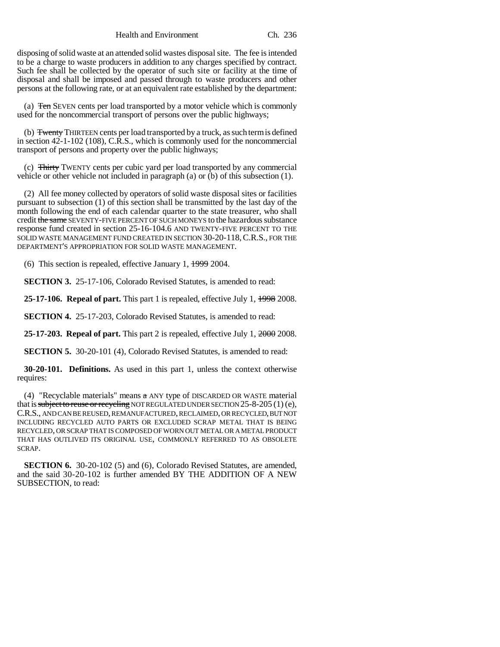Health and Environment Ch. 236

disposing of solid waste at an attended solid wastes disposal site. The fee is intended to be a charge to waste producers in addition to any charges specified by contract. Such fee shall be collected by the operator of such site or facility at the time of disposal and shall be imposed and passed through to waste producers and other persons at the following rate, or at an equivalent rate established by the department:

(a) Ten SEVEN cents per load transported by a motor vehicle which is commonly used for the noncommercial transport of persons over the public highways;

(b) Twenty THIRTEEN cents per load transported by a truck, as such term is defined in section 42-1-102 (108), C.R.S., which is commonly used for the noncommercial transport of persons and property over the public highways;

(c) Thirty TWENTY cents per cubic yard per load transported by any commercial vehicle or other vehicle not included in paragraph (a) or (b) of this subsection (1).

(2) All fee money collected by operators of solid waste disposal sites or facilities pursuant to subsection (1) of this section shall be transmitted by the last day of the month following the end of each calendar quarter to the state treasurer, who shall credit the same SEVENTY-FIVE PERCENT OF SUCH MONEYS to the hazardous substance response fund created in section 25-16-104.6 AND TWENTY-FIVE PERCENT TO THE SOLID WASTE MANAGEMENT FUND CREATED IN SECTION 30-20-118, C.R.S., FOR THE DEPARTMENT'S APPROPRIATION FOR SOLID WASTE MANAGEMENT.

(6) This section is repealed, effective January 1, 1999 2004.

**SECTION 3.** 25-17-106, Colorado Revised Statutes, is amended to read:

**25-17-106. Repeal of part.** This part 1 is repealed, effective July 1, 1998 2008.

**SECTION 4.** 25-17-203, Colorado Revised Statutes, is amended to read:

**25-17-203. Repeal of part.** This part 2 is repealed, effective July 1, 2000 2008.

**SECTION 5.** 30-20-101 (4), Colorado Revised Statutes, is amended to read:

**30-20-101. Definitions.** As used in this part 1, unless the context otherwise requires:

(4) "Recyclable materials" means  $a$  ANY type of DISCARDED OR WASTE material that is subject to reuse or recycling NOT REGULATED UNDER SECTION 25-8-205 (1) (e), C.R.S., AND CAN BE REUSED, REMANUFACTURED, RECLAIMED, OR RECYCLED, BUT NOT INCLUDING RECYCLED AUTO PARTS OR EXCLUDED SCRAP METAL THAT IS BEING RECYCLED, OR SCRAP THAT IS COMPOSED OF WORN OUT METAL OR A METAL PRODUCT THAT HAS OUTLIVED ITS ORIGINAL USE, COMMONLY REFERRED TO AS OBSOLETE SCRAP.

**SECTION 6.** 30-20-102 (5) and (6), Colorado Revised Statutes, are amended, and the said 30-20-102 is further amended BY THE ADDITION OF A NEW SUBSECTION, to read: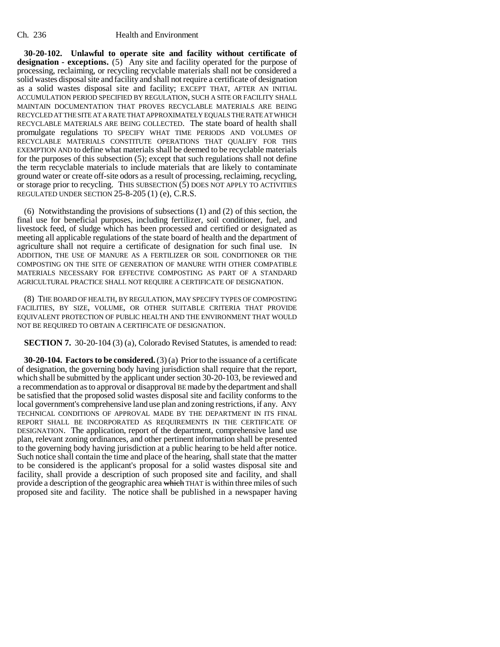#### Ch. 236 Health and Environment

**30-20-102. Unlawful to operate site and facility without certificate of** designation - exceptions. (5) Any site and facility operated for the purpose of processing, reclaiming, or recycling recyclable materials shall not be considered a solid wastes disposal site and facility and shall not require a certificate of designation as a solid wastes disposal site and facility; EXCEPT THAT, AFTER AN INITIAL ACCUMULATION PERIOD SPECIFIED BY REGULATION, SUCH A SITE OR FACILITY SHALL MAINTAIN DOCUMENTATION THAT PROVES RECYCLABLE MATERIALS ARE BEING RECYCLED AT THE SITE AT A RATE THAT APPROXIMATELY EQUALS THE RATE AT WHICH RECYCLABLE MATERIALS ARE BEING COLLECTED. The state board of health shall promulgate regulations TO SPECIFY WHAT TIME PERIODS AND VOLUMES OF RECYCLABLE MATERIALS CONSTITUTE OPERATIONS THAT QUALIFY FOR THIS EXEMPTION AND to define what materials shall be deemed to be recyclable materials for the purposes of this subsection (5); except that such regulations shall not define the term recyclable materials to include materials that are likely to contaminate ground water or create off-site odors as a result of processing, reclaiming, recycling, or storage prior to recycling. THIS SUBSECTION  $(5)$  DOES NOT APPLY TO ACTIVITIES REGULATED UNDER SECTION 25-8-205 (1) (e), C.R.S.

(6) Notwithstanding the provisions of subsections (1) and (2) of this section, the final use for beneficial purposes, including fertilizer, soil conditioner, fuel, and livestock feed, of sludge which has been processed and certified or designated as meeting all applicable regulations of the state board of health and the department of agriculture shall not require a certificate of designation for such final use. IN ADDITION, THE USE OF MANURE AS A FERTILIZER OR SOIL CONDITIONER OR THE COMPOSTING ON THE SITE OF GENERATION OF MANURE WITH OTHER COMPATIBLE MATERIALS NECESSARY FOR EFFECTIVE COMPOSTING AS PART OF A STANDARD AGRICULTURAL PRACTICE SHALL NOT REQUIRE A CERTIFICATE OF DESIGNATION.

(8) THE BOARD OF HEALTH, BY REGULATION, MAY SPECIFY TYPES OF COMPOSTING FACILITIES, BY SIZE, VOLUME, OR OTHER SUITABLE CRITERIA THAT PROVIDE EQUIVALENT PROTECTION OF PUBLIC HEALTH AND THE ENVIRONMENT THAT WOULD NOT BE REQUIRED TO OBTAIN A CERTIFICATE OF DESIGNATION.

**SECTION 7.** 30-20-104 (3) (a), Colorado Revised Statutes, is amended to read:

**30-20-104. Factors to be considered.** (3) (a) Prior to the issuance of a certificate of designation, the governing body having jurisdiction shall require that the report, which shall be submitted by the applicant under section 30-20-103, be reviewed and a recommendation as to approval or disapproval BE made by the department and shall be satisfied that the proposed solid wastes disposal site and facility conforms to the local government's comprehensive land use plan and zoning restrictions, if any. ANY TECHNICAL CONDITIONS OF APPROVAL MADE BY THE DEPARTMENT IN ITS FINAL REPORT SHALL BE INCORPORATED AS REQUIREMENTS IN THE CERTIFICATE OF DESIGNATION. The application, report of the department, comprehensive land use plan, relevant zoning ordinances, and other pertinent information shall be presented to the governing body having jurisdiction at a public hearing to be held after notice. Such notice shall contain the time and place of the hearing, shall state that the matter to be considered is the applicant's proposal for a solid wastes disposal site and facility, shall provide a description of such proposed site and facility, and shall provide a description of the geographic area which THAT is within three miles of such proposed site and facility. The notice shall be published in a newspaper having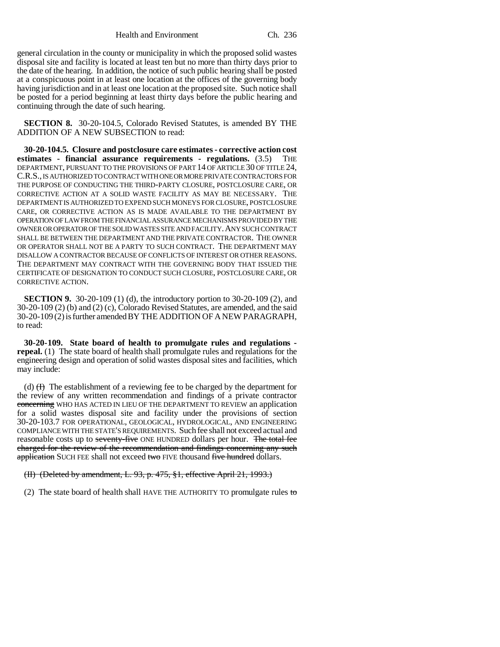Health and Environment Ch. 236

general circulation in the county or municipality in which the proposed solid wastes disposal site and facility is located at least ten but no more than thirty days prior to the date of the hearing. In addition, the notice of such public hearing shall be posted at a conspicuous point in at least one location at the offices of the governing body having jurisdiction and in at least one location at the proposed site. Such notice shall be posted for a period beginning at least thirty days before the public hearing and continuing through the date of such hearing.

**SECTION 8.** 30-20-104.5, Colorado Revised Statutes, is amended BY THE ADDITION OF A NEW SUBSECTION to read:

**30-20-104.5. Closure and postclosure care estimates - corrective action cost estimates - financial assurance requirements - regulations.** (3.5) THE DEPARTMENT, PURSUANT TO THE PROVISIONS OF PART 14 OF ARTICLE 30 OF TITLE 24, C.R.S., IS AUTHORIZED TO CONTRACT WITH ONE OR MORE PRIVATE CONTRACTORS FOR THE PURPOSE OF CONDUCTING THE THIRD-PARTY CLOSURE, POSTCLOSURE CARE, OR CORRECTIVE ACTION AT A SOLID WASTE FACILITY AS MAY BE NECESSARY. THE DEPARTMENT IS AUTHORIZED TO EXPEND SUCH MONEYS FOR CLOSURE, POSTCLOSURE CARE, OR CORRECTIVE ACTION AS IS MADE AVAILABLE TO THE DEPARTMENT BY OPERATION OF LAW FROM THE FINANCIAL ASSURANCE MECHANISMS PROVIDED BY THE OWNER OR OPERATOR OF THE SOLID WASTES SITE AND FACILITY.ANY SUCH CONTRACT SHALL BE BETWEEN THE DEPARTMENT AND THE PRIVATE CONTRACTOR. THE OWNER OR OPERATOR SHALL NOT BE A PARTY TO SUCH CONTRACT. THE DEPARTMENT MAY DISALLOW A CONTRACTOR BECAUSE OF CONFLICTS OF INTEREST OR OTHER REASONS. THE DEPARTMENT MAY CONTRACT WITH THE GOVERNING BODY THAT ISSUED THE CERTIFICATE OF DESIGNATION TO CONDUCT SUCH CLOSURE, POSTCLOSURE CARE, OR CORRECTIVE ACTION.

**SECTION 9.** 30-20-109 (1) (d), the introductory portion to 30-20-109 (2), and 30-20-109 (2) (b) and (2) (c), Colorado Revised Statutes, are amended, and the said 30-20-109 (2) is further amended BY THE ADDITION OF A NEW PARAGRAPH, to read:

**30-20-109. State board of health to promulgate rules and regulations repeal.** (1) The state board of health shall promulgate rules and regulations for the engineering design and operation of solid wastes disposal sites and facilities, which may include:

(d)  $(H)$  The establishment of a reviewing fee to be charged by the department for the review of any written recommendation and findings of a private contractor concerning WHO HAS ACTED IN LIEU OF THE DEPARTMENT TO REVIEW an application for a solid wastes disposal site and facility under the provisions of section 30-20-103.7 FOR OPERATIONAL, GEOLOGICAL, HYDROLOGICAL, AND ENGINEERING COMPLIANCE WITH THE STATE'S REQUIREMENTS. Such fee shall not exceed actual and reasonable costs up to seventy-five ONE HUNDRED dollars per hour. The total fee charged for the review of the recommendation and findings concerning any such application SUCH FEE shall not exceed two FIVE thousand five hundred dollars.

(II) (Deleted by amendment, L. 93, p. 475, §1, effective April 21, 1993.)

(2) The state board of health shall HAVE THE AUTHORITY TO promulgate rules  $\theta$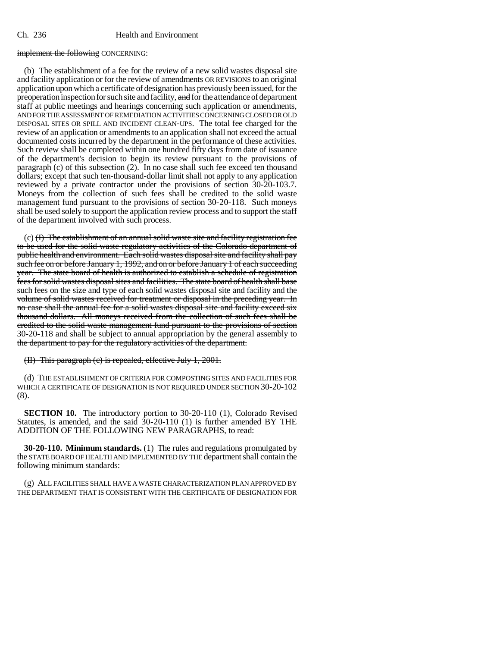## Ch. 236 Health and Environment

### implement the following CONCERNING:

(b) The establishment of a fee for the review of a new solid wastes disposal site and facility application or for the review of amendments OR REVISIONS to an original application upon which a certificate of designation has previously been issued, for the preoperation inspection for such site and facility, and for the attendance of department staff at public meetings and hearings concerning such application or amendments, AND FOR THE ASSESSMENT OF REMEDIATION ACTIVITIES CONCERNING CLOSED OR OLD DISPOSAL SITES OR SPILL AND INCIDENT CLEAN-UPS. The total fee charged for the review of an application or amendments to an application shall not exceed the actual documented costs incurred by the department in the performance of these activities. Such review shall be completed within one hundred fifty days from date of issuance of the department's decision to begin its review pursuant to the provisions of paragraph (c) of this subsection (2). In no case shall such fee exceed ten thousand dollars; except that such ten-thousand-dollar limit shall not apply to any application reviewed by a private contractor under the provisions of section 30-20-103.7. Moneys from the collection of such fees shall be credited to the solid waste management fund pursuant to the provisions of section 30-20-118. Such moneys shall be used solely to support the application review process and to support the staff of the department involved with such process.

(c) (I) The establishment of an annual solid waste site and facility registration fee to be used for the solid waste regulatory activities of the Colorado department of public health and environment. Each solid wastes disposal site and facility shall pay such fee on or before January 1, 1992, and on or before January 1 of each succeeding year. The state board of health is authorized to establish a schedule of registration fees for solid wastes disposal sites and facilities. The state board of health shall base such fees on the size and type of each solid wastes disposal site and facility and the volume of solid wastes received for treatment or disposal in the preceding year. In no case shall the annual fee for a solid wastes disposal site and facility exceed six thousand dollars. All moneys received from the collection of such fees shall be credited to the solid waste management fund pursuant to the provisions of section 30-20-118 and shall be subject to annual appropriation by the general assembly to the department to pay for the regulatory activities of the department.

(II) This paragraph (c) is repealed, effective July 1, 2001.

(d) THE ESTABLISHMENT OF CRITERIA FOR COMPOSTING SITES AND FACILITIES FOR WHICH A CERTIFICATE OF DESIGNATION IS NOT REQUIRED UNDER SECTION 30-20-102 (8).

**SECTION 10.** The introductory portion to 30-20-110 (1), Colorado Revised Statutes, is amended, and the said 30-20-110 (1) is further amended BY THE ADDITION OF THE FOLLOWING NEW PARAGRAPHS, to read:

**30-20-110. Minimum standards.** (1) The rules and regulations promulgated by the STATE BOARD OF HEALTH AND IMPLEMENTED BY THE department shall contain the following minimum standards:

(g) ALL FACILITIES SHALL HAVE A WASTE CHARACTERIZATION PLAN APPROVED BY THE DEPARTMENT THAT IS CONSISTENT WITH THE CERTIFICATE OF DESIGNATION FOR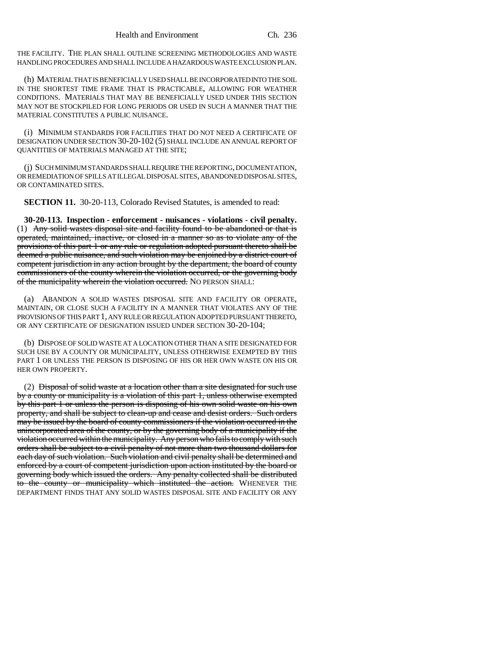THE FACILITY. THE PLAN SHALL OUTLINE SCREENING METHODOLOGIES AND WASTE HANDLING PROCEDURES AND SHALL INCLUDE A HAZARDOUS WASTE EXCLUSION PLAN.

(h) MATERIAL THAT IS BENEFICIALLY USED SHALL BE INCORPORATED INTO THE SOIL IN THE SHORTEST TIME FRAME THAT IS PRACTICABLE, ALLOWING FOR WEATHER CONDITIONS. MATERIALS THAT MAY BE BENEFICIALLY USED UNDER THIS SECTION MAY NOT BE STOCKPILED FOR LONG PERIODS OR USED IN SUCH A MANNER THAT THE MATERIAL CONSTITUTES A PUBLIC NUISANCE.

(i) MINIMUM STANDARDS FOR FACILITIES THAT DO NOT NEED A CERTIFICATE OF DESIGNATION UNDER SECTION 30-20-102 (5) SHALL INCLUDE AN ANNUAL REPORT OF QUANTITIES OF MATERIALS MANAGED AT THE SITE;

(j) SUCH MINIMUM STANDARDS SHALL REQUIRE THE REPORTING, DOCUMENTATION, OR REMEDIATION OF SPILLS AT ILLEGAL DISPOSAL SITES, ABANDONED DISPOSAL SITES, OR CONTAMINATED SITES.

**SECTION 11.** 30-20-113, Colorado Revised Statutes, is amended to read:

**30-20-113. Inspection - enforcement - nuisances - violations - civil penalty.** (1) Any solid wastes disposal site and facility found to be abandoned or that is operated, maintained, inactive, or closed in a manner so as to violate any of the provisions of this part 1 or any rule or regulation adopted pursuant thereto shall be deemed a public nuisance, and such violation may be enjoined by a district court of competent jurisdiction in any action brought by the department, the board of county commissioners of the county wherein the violation occurred, or the governing body of the municipality wherein the violation occurred. NO PERSON SHALL:

(a) ABANDON A SOLID WASTES DISPOSAL SITE AND FACILITY OR OPERATE, MAINTAIN, OR CLOSE SUCH A FACILITY IN A MANNER THAT VIOLATES ANY OF THE PROVISIONS OF THIS PART 1, ANY RULE OR REGULATION ADOPTED PURSUANT THERETO, OR ANY CERTIFICATE OF DESIGNATION ISSUED UNDER SECTION 30-20-104;

(b) DISPOSE OF SOLID WASTE AT A LOCATION OTHER THAN A SITE DESIGNATED FOR SUCH USE BY A COUNTY OR MUNICIPALITY, UNLESS OTHERWISE EXEMPTED BY THIS PART 1 OR UNLESS THE PERSON IS DISPOSING OF HIS OR HER OWN WASTE ON HIS OR HER OWN PROPERTY.

(2) Disposal of solid waste at a location other than a site designated for such use by a county or municipality is a violation of this part 1, unless otherwise exempted by this part 1 or unless the person is disposing of his own solid waste on his own property, and shall be subject to clean-up and cease and desist orders. Such orders may be issued by the board of county commissioners if the violation occurred in the unincorporated area of the county, or by the governing body of a municipality if the violation occurred within the municipality. Any person who fails to comply with such orders shall be subject to a civil penalty of not more than two thousand dollars for each day of such violation. Such violation and civil penalty shall be determined and enforced by a court of competent jurisdiction upon action instituted by the board or governing body which issued the orders. Any penalty collected shall be distributed to the county or municipality which instituted the action. WHENEVER THE DEPARTMENT FINDS THAT ANY SOLID WASTES DISPOSAL SITE AND FACILITY OR ANY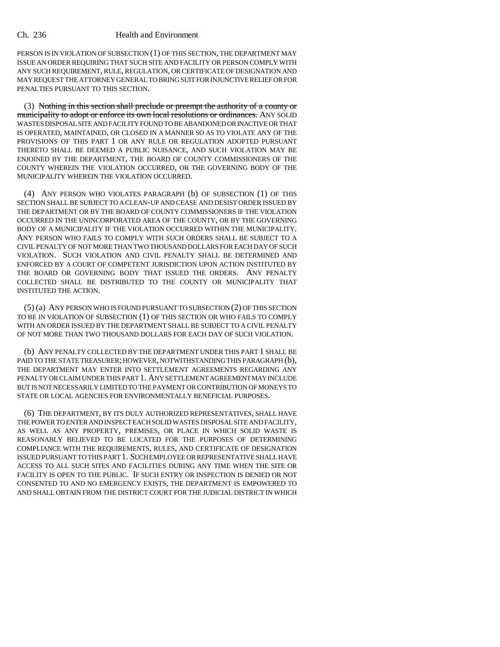PERSON IS IN VIOLATION OF SUBSECTION (1) OF THIS SECTION, THE DEPARTMENT MAY ISSUE AN ORDER REQUIRING THAT SUCH SITE AND FACILITY OR PERSON COMPLY WITH ANY SUCH REQUIREMENT, RULE, REGULATION, OR CERTIFICATE OF DESIGNATION AND MAY REQUEST THE ATTORNEY GENERAL TO BRING SUIT FOR INJUNCTIVE RELIEF OR FOR PENALTIES PURSUANT TO THIS SECTION.

(3) Nothing in this section shall preclude or preempt the authority of a county or municipality to adopt or enforce its own local resolutions or ordinances. ANY SOLID WASTES DISPOSAL SITE AND FACILITY FOUND TO BE ABANDONED OR INACTIVE OR THAT IS OPERATED, MAINTAINED, OR CLOSED IN A MANNER SO AS TO VIOLATE ANY OF THE PROVISIONS OF THIS PART 1 OR ANY RULE OR REGULATION ADOPTED PURSUANT THERETO SHALL BE DEEMED A PUBLIC NUISANCE, AND SUCH VIOLATION MAY BE ENJOINED BY THE DEPARTMENT, THE BOARD OF COUNTY COMMISSIONERS OF THE COUNTY WHEREIN THE VIOLATION OCCURRED, OR THE GOVERNING BODY OF THE MUNICIPALITY WHEREIN THE VIOLATION OCCURRED.

(4) ANY PERSON WHO VIOLATES PARAGRAPH (b) OF SUBSECTION (1) OF THIS SECTION SHALL BE SUBJECT TO A CLEAN-UP AND CEASE AND DESIST ORDER ISSUED BY THE DEPARTMENT OR BY THE BOARD OF COUNTY COMMISSIONERS IF THE VIOLATION OCCURRED IN THE UNINCORPORATED AREA OF THE COUNTY, OR BY THE GOVERNING BODY OF A MUNICIPALITY IF THE VIOLATION OCCURRED WITHIN THE MUNICIPALITY. ANY PERSON WHO FAILS TO COMPLY WITH SUCH ORDERS SHALL BE SUBJECT TO A CIVIL PENALTY OF NOT MORE THAN TWO THOUSAND DOLLARS FOR EACH DAY OF SUCH VIOLATION. SUCH VIOLATION AND CIVIL PENALTY SHALL BE DETERMINED AND ENFORCED BY A COURT OF COMPETENT JURISDICTION UPON ACTION INSTITUTED BY THE BOARD OR GOVERNING BODY THAT ISSUED THE ORDERS. ANY PENALTY COLLECTED SHALL BE DISTRIBUTED TO THE COUNTY OR MUNICIPALITY THAT INSTITUTED THE ACTION.

(5) (a) ANY PERSON WHO IS FOUND PURSUANT TO SUBSECTION (2) OF THIS SECTION TO BE IN VIOLATION OF SUBSECTION (1) OF THIS SECTION OR WHO FAILS TO COMPLY WITH AN ORDER ISSUED BY THE DEPARTMENT SHALL BE SUBJECT TO A CIVIL PENALTY OF NOT MORE THAN TWO THOUSAND DOLLARS FOR EACH DAY OF SUCH VIOLATION.

(b) ANY PENALTY COLLECTED BY THE DEPARTMENT UNDER THIS PART 1 SHALL BE PAID TO THE STATE TREASURER; HOWEVER, NOTWITHSTANDING THIS PARAGRAPH (b), THE DEPARTMENT MAY ENTER INTO SETTLEMENT AGREEMENTS REGARDING ANY PENALTY OR CLAIM UNDER THIS PART 1. ANY SETTLEMENT AGREEMENT MAY INCLUDE BUT IS NOT NECESSARILY LIMITED TO THE PAYMENT OR CONTRIBUTION OF MONEYS TO STATE OR LOCAL AGENCIES FOR ENVIRONMENTALLY BENEFICIAL PURPOSES.

(6) THE DEPARTMENT, BY ITS DULY AUTHORIZED REPRESENTATIVES, SHALL HAVE AS WELL AS ANY PROPERTY, PREMISES, OR PLACE IN WHICH SOLID WASTE IS REASONABLY BELIEVED TO BE LOCATED FOR THE PURPOSES OF DETERMINING COMPLIANCE WITH THE REQUIREMENTS, RULES, AND CERTIFICATE OF DESIGNATION ISSUED PURSUANT TO THIS PART 1. SUCH EMPLOYEE OR REPRESENTATIVE SHALL HAVE ACCESS TO ALL SUCH SITES AND FACILITIES DURING ANY TIME WHEN THE SITE OR FACILITY IS OPEN TO THE PUBLIC. IF SUCH ENTRY OR INSPECTION IS DENIED OR NOT CONSENTED TO AND NO EMERGENCY EXISTS, THE DEPARTMENT IS EMPOWERED TO AND SHALL OBTAIN FROM THE DISTRICT COURT FOR THE JUDICIAL DISTRICT IN WHICH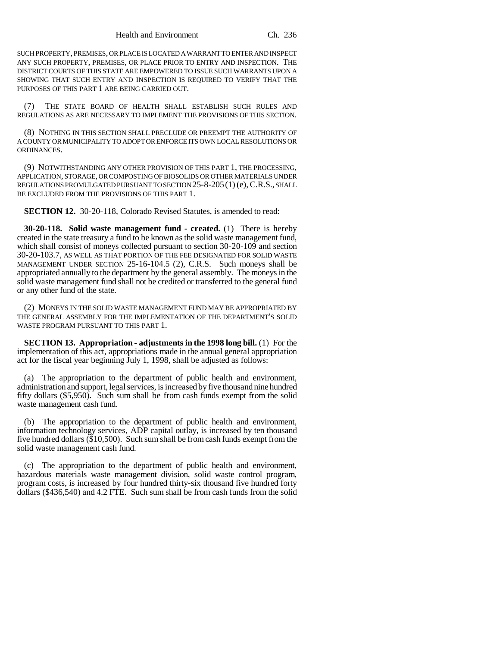SUCH PROPERTY, PREMISES, OR PLACE IS LOCATED A WARRANT TO ENTER AND INSPECT ANY SUCH PROPERTY, PREMISES, OR PLACE PRIOR TO ENTRY AND INSPECTION. THE DISTRICT COURTS OF THIS STATE ARE EMPOWERED TO ISSUE SUCH WARRANTS UPON A SHOWING THAT SUCH ENTRY AND INSPECTION IS REQUIRED TO VERIFY THAT THE PURPOSES OF THIS PART 1 ARE BEING CARRIED OUT.

(7) THE STATE BOARD OF HEALTH SHALL ESTABLISH SUCH RULES AND REGULATIONS AS ARE NECESSARY TO IMPLEMENT THE PROVISIONS OF THIS SECTION.

(8) NOTHING IN THIS SECTION SHALL PRECLUDE OR PREEMPT THE AUTHORITY OF A COUNTY OR MUNICIPALITY TO ADOPT OR ENFORCE ITS OWN LOCAL RESOLUTIONS OR ORDINANCES.

(9) NOTWITHSTANDING ANY OTHER PROVISION OF THIS PART 1, THE PROCESSING, APPLICATION, STORAGE, OR COMPOSTING OF BIOSOLIDS OR OTHER MATERIALS UNDER REGULATIONS PROMULGATED PURSUANT TO SECTION 25-8-205(1) (e), C.R.S., SHALL BE EXCLUDED FROM THE PROVISIONS OF THIS PART 1.

**SECTION 12.** 30-20-118, Colorado Revised Statutes, is amended to read:

**30-20-118. Solid waste management fund - created.** (1) There is hereby created in the state treasury a fund to be known as the solid waste management fund, which shall consist of moneys collected pursuant to section 30-20-109 and section 30-20-103.7, AS WELL AS THAT PORTION OF THE FEE DESIGNATED FOR SOLID WASTE MANAGEMENT UNDER SECTION 25-16-104.5 (2), C.R.S. Such moneys shall be appropriated annually to the department by the general assembly. The moneys in the solid waste management fund shall not be credited or transferred to the general fund or any other fund of the state.

(2) MONEYS IN THE SOLID WASTE MANAGEMENT FUND MAY BE APPROPRIATED BY THE GENERAL ASSEMBLY FOR THE IMPLEMENTATION OF THE DEPARTMENT'S SOLID WASTE PROGRAM PURSUANT TO THIS PART 1.

**SECTION 13. Appropriation - adjustments in the 1998 long bill.** (1) For the implementation of this act, appropriations made in the annual general appropriation act for the fiscal year beginning July 1, 1998, shall be adjusted as follows:

(a) The appropriation to the department of public health and environment, administration and support, legal services, is increased by five thousand nine hundred fifty dollars (\$5,950). Such sum shall be from cash funds exempt from the solid waste management cash fund.

(b) The appropriation to the department of public health and environment, information technology services, ADP capital outlay, is increased by ten thousand five hundred dollars (\$10,500). Such sum shall be from cash funds exempt from the solid waste management cash fund.

(c) The appropriation to the department of public health and environment, hazardous materials waste management division, solid waste control program, program costs, is increased by four hundred thirty-six thousand five hundred forty dollars (\$436,540) and 4.2 FTE. Such sum shall be from cash funds from the solid